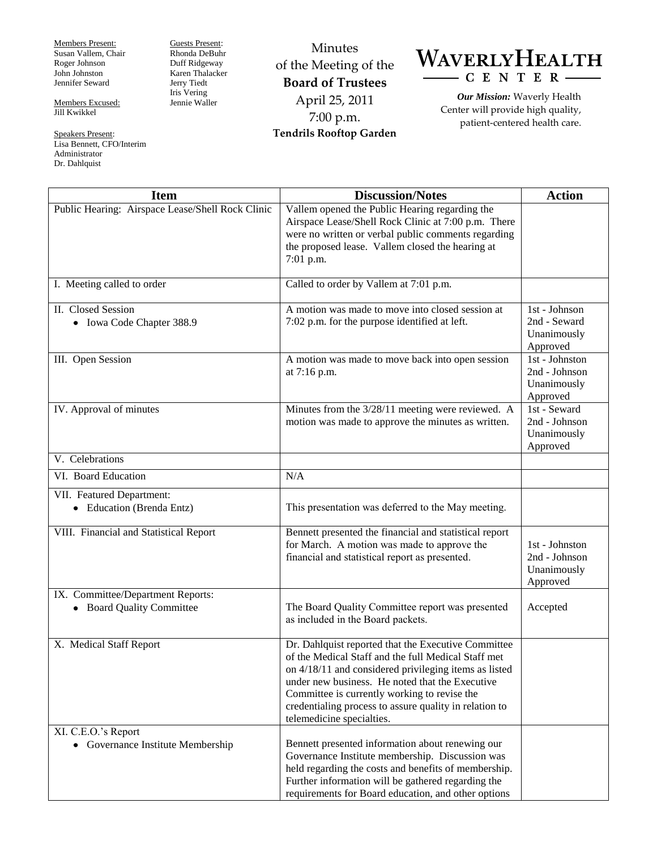Members Present: Susan Vallem, Chair Roger Johnson John Johnston Jennifer Seward

Members Excused: Jill Kwikkel

Administrator Dr. Dahlquist

Speakers Present: Lisa Bennett, CFO/Interim Jerry Tiedt Iris Vering Jennie Waller

Guests Present: Rhonda DeBuhr Duff Ridgeway Karen Thalacker

Minutes of the Meeting of the **Board of Trustees** April 25, 2011 7:00 p.m. **Tendrils Rooftop Garden**



*Our Mission:* Waverly Health Center will provide high quality, patient-centered health care.

| <b>Item</b>                                                    | <b>Discussion/Notes</b>                                                                                                                                                                                                                                                                                                                                       | <b>Action</b>                                              |
|----------------------------------------------------------------|---------------------------------------------------------------------------------------------------------------------------------------------------------------------------------------------------------------------------------------------------------------------------------------------------------------------------------------------------------------|------------------------------------------------------------|
| Public Hearing: Airspace Lease/Shell Rock Clinic               | Vallem opened the Public Hearing regarding the<br>Airspace Lease/Shell Rock Clinic at 7:00 p.m. There<br>were no written or verbal public comments regarding<br>the proposed lease. Vallem closed the hearing at<br>7:01 p.m.                                                                                                                                 |                                                            |
| I. Meeting called to order                                     | Called to order by Vallem at 7:01 p.m.                                                                                                                                                                                                                                                                                                                        |                                                            |
| II. Closed Session<br>• Iowa Code Chapter 388.9                | A motion was made to move into closed session at<br>7:02 p.m. for the purpose identified at left.                                                                                                                                                                                                                                                             | 1st - Johnson<br>2nd - Seward<br>Unanimously<br>Approved   |
| III. Open Session                                              | A motion was made to move back into open session<br>at 7:16 p.m.                                                                                                                                                                                                                                                                                              | 1st - Johnston<br>2nd - Johnson<br>Unanimously<br>Approved |
| IV. Approval of minutes                                        | Minutes from the 3/28/11 meeting were reviewed. A<br>motion was made to approve the minutes as written.                                                                                                                                                                                                                                                       | 1st - Seward<br>2nd - Johnson<br>Unanimously<br>Approved   |
| V. Celebrations                                                |                                                                                                                                                                                                                                                                                                                                                               |                                                            |
| VI. Board Education                                            | N/A                                                                                                                                                                                                                                                                                                                                                           |                                                            |
| VII. Featured Department:<br>• Education (Brenda Entz)         | This presentation was deferred to the May meeting.                                                                                                                                                                                                                                                                                                            |                                                            |
| VIII. Financial and Statistical Report                         | Bennett presented the financial and statistical report<br>for March. A motion was made to approve the<br>financial and statistical report as presented.                                                                                                                                                                                                       | 1st - Johnston<br>2nd - Johnson<br>Unanimously<br>Approved |
| IX. Committee/Department Reports:<br>• Board Quality Committee | The Board Quality Committee report was presented<br>as included in the Board packets.                                                                                                                                                                                                                                                                         | Accepted                                                   |
| X. Medical Staff Report                                        | Dr. Dahlquist reported that the Executive Committee<br>of the Medical Staff and the full Medical Staff met<br>on 4/18/11 and considered privileging items as listed<br>under new business. He noted that the Executive<br>Committee is currently working to revise the<br>credentialing process to assure quality in relation to<br>telemedicine specialties. |                                                            |
| XI. C.E.O.'s Report<br>• Governance Institute Membership       | Bennett presented information about renewing our<br>Governance Institute membership. Discussion was<br>held regarding the costs and benefits of membership.<br>Further information will be gathered regarding the<br>requirements for Board education, and other options                                                                                      |                                                            |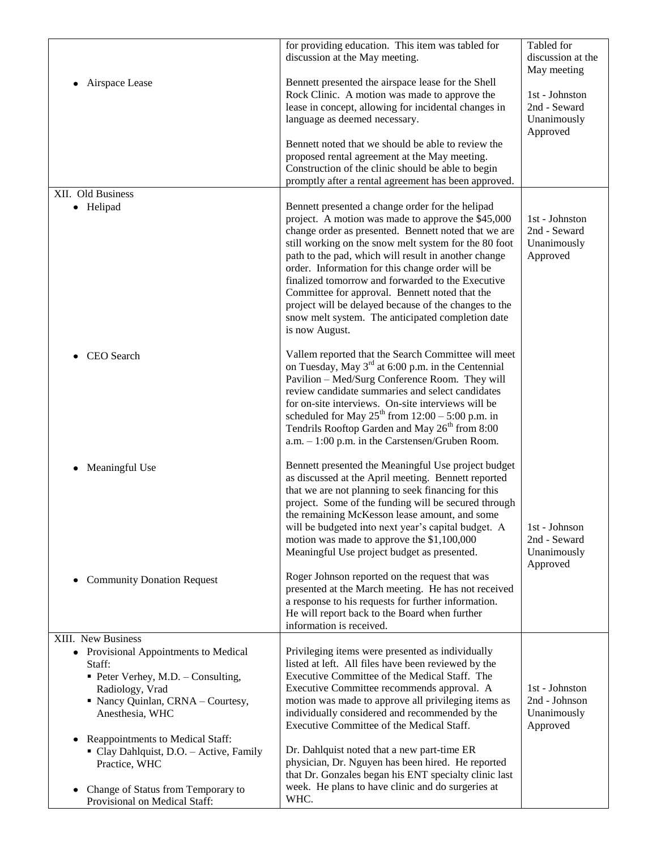| Airspace Lease                                                                                                                                                                                                                                                                                                                                                             | for providing education. This item was tabled for<br>discussion at the May meeting.<br>Bennett presented the airspace lease for the Shell<br>Rock Clinic. A motion was made to approve the<br>lease in concept, allowing for incidental changes in<br>language as deemed necessary.<br>Bennett noted that we should be able to review the<br>proposed rental agreement at the May meeting.<br>Construction of the clinic should be able to begin<br>promptly after a rental agreement has been approved.                                                                                                                                                                    | Tabled for<br>discussion at the<br>May meeting<br>1st - Johnston<br>2nd - Seward<br>Unanimously<br>Approved |
|----------------------------------------------------------------------------------------------------------------------------------------------------------------------------------------------------------------------------------------------------------------------------------------------------------------------------------------------------------------------------|-----------------------------------------------------------------------------------------------------------------------------------------------------------------------------------------------------------------------------------------------------------------------------------------------------------------------------------------------------------------------------------------------------------------------------------------------------------------------------------------------------------------------------------------------------------------------------------------------------------------------------------------------------------------------------|-------------------------------------------------------------------------------------------------------------|
| XII. Old Business<br>Helipad<br>$\bullet$                                                                                                                                                                                                                                                                                                                                  | Bennett presented a change order for the helipad<br>project. A motion was made to approve the \$45,000<br>change order as presented. Bennett noted that we are<br>still working on the snow melt system for the 80 foot<br>path to the pad, which will result in another change<br>order. Information for this change order will be<br>finalized tomorrow and forwarded to the Executive<br>Committee for approval. Bennett noted that the<br>project will be delayed because of the changes to the<br>snow melt system. The anticipated completion date<br>is now August.                                                                                                  | 1st - Johnston<br>2nd - Seward<br>Unanimously<br>Approved                                                   |
| CEO Search                                                                                                                                                                                                                                                                                                                                                                 | Vallem reported that the Search Committee will meet<br>on Tuesday, May 3 <sup>rd</sup> at 6:00 p.m. in the Centennial<br>Pavilion - Med/Surg Conference Room. They will<br>review candidate summaries and select candidates<br>for on-site interviews. On-site interviews will be<br>scheduled for May $25^{th}$ from $12:00 - 5:00$ p.m. in<br>Tendrils Rooftop Garden and May 26 <sup>th</sup> from 8:00<br>$a.m. - 1:00$ p.m. in the Carstensen/Gruben Room.                                                                                                                                                                                                             |                                                                                                             |
| Meaningful Use<br>٠<br><b>Community Donation Request</b><br>٠                                                                                                                                                                                                                                                                                                              | Bennett presented the Meaningful Use project budget<br>as discussed at the April meeting. Bennett reported<br>that we are not planning to seek financing for this<br>project. Some of the funding will be secured through<br>the remaining McKesson lease amount, and some<br>will be budgeted into next year's capital budget. A<br>motion was made to approve the \$1,100,000<br>Meaningful Use project budget as presented.<br>Roger Johnson reported on the request that was<br>presented at the March meeting. He has not received<br>a response to his requests for further information.<br>He will report back to the Board when further<br>information is received. | 1st - Johnson<br>2nd - Seward<br>Unanimously<br>Approved                                                    |
| XIII. New Business<br>Provisional Appointments to Medical<br>٠<br>Staff:<br>• Peter Verhey, M.D. - Consulting,<br>Radiology, Vrad<br>• Nancy Quinlan, CRNA - Courtesy,<br>Anesthesia, WHC<br>Reappointments to Medical Staff:<br>٠<br>• Clay Dahlquist, D.O. - Active, Family<br>Practice, WHC<br>Change of Status from Temporary to<br>٠<br>Provisional on Medical Staff: | Privileging items were presented as individually<br>listed at left. All files have been reviewed by the<br>Executive Committee of the Medical Staff. The<br>Executive Committee recommends approval. A<br>motion was made to approve all privileging items as<br>individually considered and recommended by the<br>Executive Committee of the Medical Staff.<br>Dr. Dahlquist noted that a new part-time ER<br>physician, Dr. Nguyen has been hired. He reported<br>that Dr. Gonzales began his ENT specialty clinic last<br>week. He plans to have clinic and do surgeries at<br>WHC.                                                                                      | 1st - Johnston<br>2nd - Johnson<br>Unanimously<br>Approved                                                  |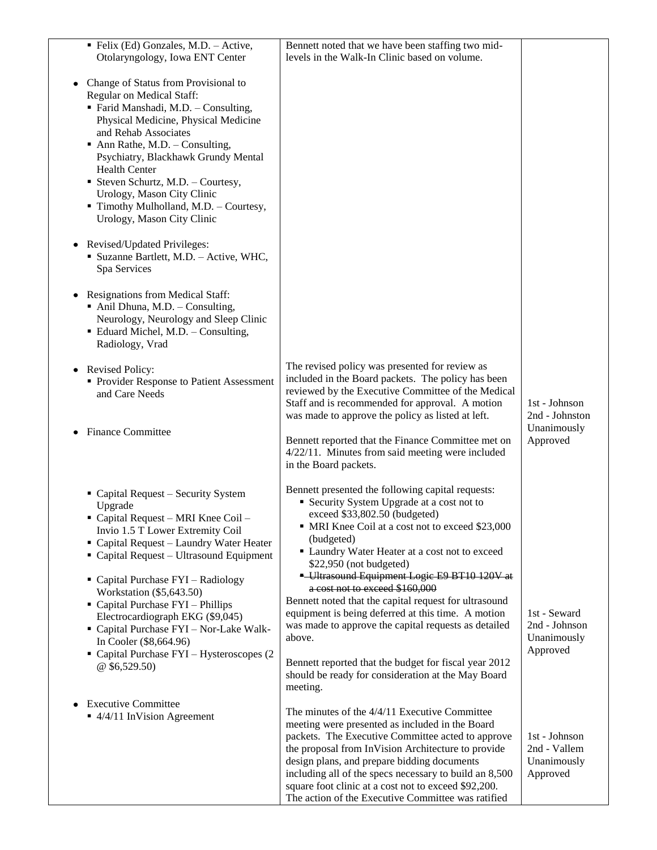| • Felix (Ed) Gonzales, M.D. - Active,<br>Otolaryngology, Iowa ENT Center                                                                                                                                                                                                                                                                                                                                                       | Bennett noted that we have been staffing two mid-<br>levels in the Walk-In Clinic based on volume.                                                                                                                                                                                                                                                                                                                                             |                                                          |
|--------------------------------------------------------------------------------------------------------------------------------------------------------------------------------------------------------------------------------------------------------------------------------------------------------------------------------------------------------------------------------------------------------------------------------|------------------------------------------------------------------------------------------------------------------------------------------------------------------------------------------------------------------------------------------------------------------------------------------------------------------------------------------------------------------------------------------------------------------------------------------------|----------------------------------------------------------|
| Change of Status from Provisional to<br>Regular on Medical Staff:<br>Farid Manshadi, M.D. - Consulting,<br>Physical Medicine, Physical Medicine<br>and Rehab Associates<br>$\blacksquare$ Ann Rathe, M.D. - Consulting,<br>Psychiatry, Blackhawk Grundy Mental<br><b>Health Center</b><br>Steven Schurtz, M.D. - Courtesy,<br>Urology, Mason City Clinic<br>Timothy Mulholland, M.D. - Courtesy,<br>Urology, Mason City Clinic |                                                                                                                                                                                                                                                                                                                                                                                                                                                |                                                          |
| Revised/Updated Privileges:<br>· Suzanne Bartlett, M.D. - Active, WHC,<br>Spa Services                                                                                                                                                                                                                                                                                                                                         |                                                                                                                                                                                                                                                                                                                                                                                                                                                |                                                          |
| <b>Resignations from Medical Staff:</b><br>Anil Dhuna, M.D. - Consulting,<br>Neurology, Neurology and Sleep Clinic<br>· Eduard Michel, M.D. - Consulting,<br>Radiology, Vrad                                                                                                                                                                                                                                                   |                                                                                                                                                                                                                                                                                                                                                                                                                                                |                                                          |
| <b>Revised Policy:</b><br>• Provider Response to Patient Assessment<br>and Care Needs<br><b>Finance Committee</b>                                                                                                                                                                                                                                                                                                              | The revised policy was presented for review as<br>included in the Board packets. The policy has been<br>reviewed by the Executive Committee of the Medical<br>Staff and is recommended for approval. A motion<br>was made to approve the policy as listed at left.                                                                                                                                                                             | 1st - Johnson<br>2nd - Johnston<br>Unanimously           |
|                                                                                                                                                                                                                                                                                                                                                                                                                                | Bennett reported that the Finance Committee met on<br>4/22/11. Minutes from said meeting were included<br>in the Board packets.                                                                                                                                                                                                                                                                                                                | Approved                                                 |
| Capital Request - Security System<br>Upgrade<br>Capital Request - MRI Knee Coil -<br>Invio 1.5 T Lower Extremity Coil<br>• Capital Request - Laundry Water Heater<br>• Capital Request – Ultrasound Equipment                                                                                                                                                                                                                  | Bennett presented the following capital requests:<br>• Security System Upgrade at a cost not to<br>exceed \$33,802.50 (budgeted)<br>• MRI Knee Coil at a cost not to exceed \$23,000<br>(budgeted)<br>Laundry Water Heater at a cost not to exceed<br>\$22,950 (not budgeted)                                                                                                                                                                  |                                                          |
| Capital Purchase FYI - Radiology<br>Workstation (\$5,643.50)<br>• Capital Purchase FYI - Phillips<br>Electrocardiograph EKG (\$9,045)<br>" Capital Purchase FYI - Nor-Lake Walk-<br>In Cooler (\$8,664.96)<br>• Capital Purchase FYI - Hysteroscopes (2)<br>$@$ \$6,529.50)                                                                                                                                                    | - Ultrasound Equipment Logic E9 BT10 120V at<br>a cost not to exceed \$160,000<br>Bennett noted that the capital request for ultrasound<br>equipment is being deferred at this time. A motion<br>was made to approve the capital requests as detailed<br>above.<br>Bennett reported that the budget for fiscal year 2012<br>should be ready for consideration at the May Board                                                                 | 1st - Seward<br>2nd - Johnson<br>Unanimously<br>Approved |
| <b>Executive Committee</b><br>■ 4/4/11 InVision Agreement                                                                                                                                                                                                                                                                                                                                                                      | meeting.<br>The minutes of the 4/4/11 Executive Committee<br>meeting were presented as included in the Board<br>packets. The Executive Committee acted to approve<br>the proposal from InVision Architecture to provide<br>design plans, and prepare bidding documents<br>including all of the specs necessary to build an 8,500<br>square foot clinic at a cost not to exceed \$92,200.<br>The action of the Executive Committee was ratified | 1st - Johnson<br>2nd - Vallem<br>Unanimously<br>Approved |